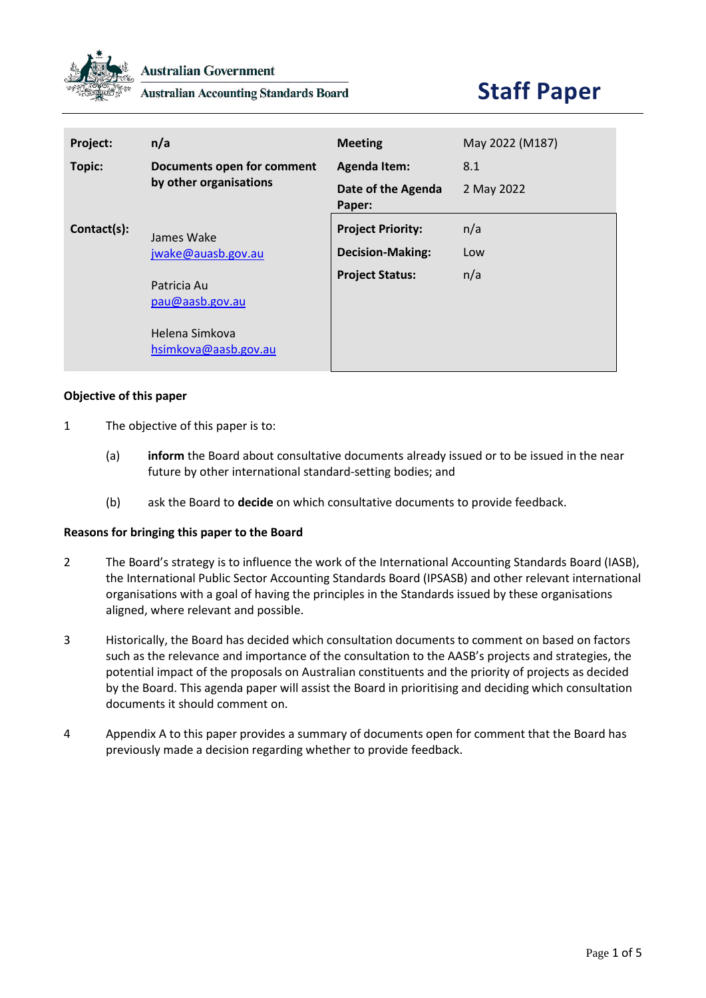

**Australian Accounting Standards Board** 

# **Staff Paper**

| Project:    | n/a                                                                      | <b>Meeting</b>               | May 2022 (M187) |
|-------------|--------------------------------------------------------------------------|------------------------------|-----------------|
| Topic:      | Documents open for comment                                               | <b>Agenda Item:</b>          | 8.1             |
|             | by other organisations                                                   | Date of the Agenda<br>Paper: | 2 May 2022      |
| Contact(s): | James Wake                                                               | <b>Project Priority:</b>     | n/a             |
|             | jwake@auasb.gov.au                                                       | <b>Decision-Making:</b>      | Low             |
|             | Patricia Au<br>pau@aasb.gov.au<br>Helena Simkova<br>hsimkova@aasb.gov.au | <b>Project Status:</b>       | n/a             |

#### **Objective of this paper**

- 1 The objective of this paper is to:
	- (a) **inform** the Board about consultative documents already issued or to be issued in the near future by other international standard-setting bodies; and
	- (b) ask the Board to **decide** on which consultative documents to provide feedback.

#### **Reasons for bringing this paper to the Board**

- 2 The Board's strategy is to influence the work of the International Accounting Standards Board (IASB), the International Public Sector Accounting Standards Board (IPSASB) and other relevant international organisations with a goal of having the principles in the Standards issued by these organisations aligned, where relevant and possible.
- 3 Historically, the Board has decided which consultation documents to comment on based on factors such as the relevance and importance of the consultation to the AASB's projects and strategies, the potential impact of the proposals on Australian constituents and the priority of projects as decided by the Board. This agenda paper will assist the Board in prioritising and deciding which consultation documents it should comment on.
- 4 Appendix A to this paper provides a summary of documents open for comment that the Board has previously made a decision regarding whether to provide feedback.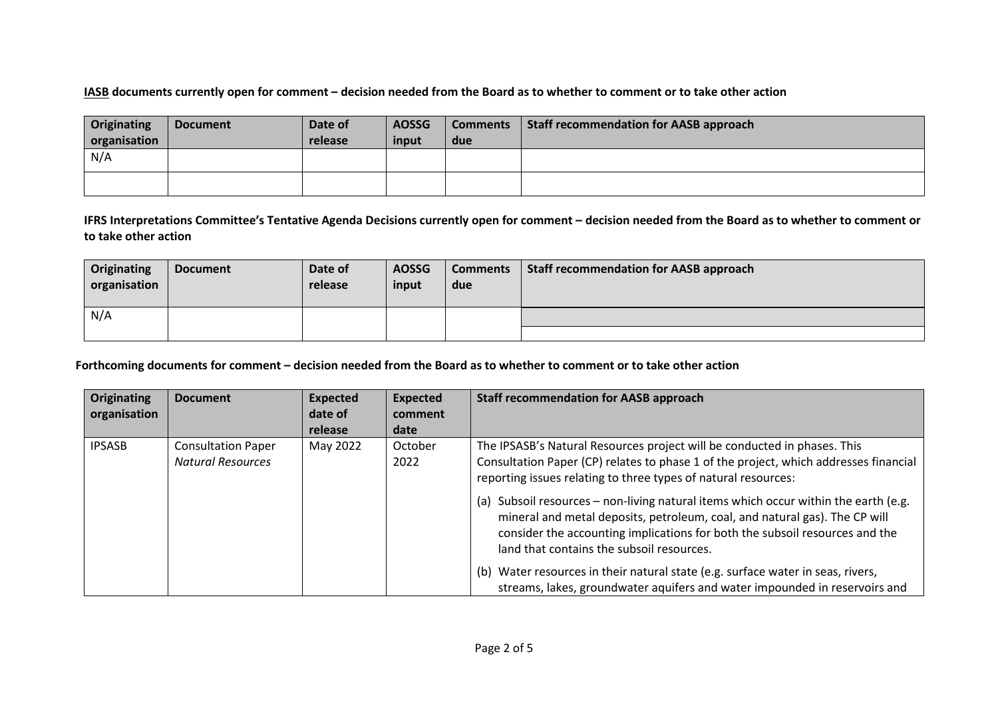### **IASB documents currently open for comment – decision needed from the Board as to whether to comment or to take other action**

| Originating<br>organisation | <b>Document</b> | Date of<br>release | <b>AOSSG</b><br>input | <b>Comments</b><br>due | Staff recommendation for AASB approach |
|-----------------------------|-----------------|--------------------|-----------------------|------------------------|----------------------------------------|
| N/A                         |                 |                    |                       |                        |                                        |
|                             |                 |                    |                       |                        |                                        |

**IFRS Interpretations Committee's Tentative Agenda Decisions currently open for comment – decision needed from the Board as to whether to comment or to take other action**

| Originating<br>organisation | <b>Document</b> | Date of<br>release | <b>AOSSG</b><br>input | <b>Comments</b><br>due | Staff recommendation for AASB approach |
|-----------------------------|-----------------|--------------------|-----------------------|------------------------|----------------------------------------|
| N/A                         |                 |                    |                       |                        |                                        |
|                             |                 |                    |                       |                        |                                        |

## **Forthcoming documents for comment – decision needed from the Board as to whether to comment or to take other action**

| <b>Originating</b> | <b>Document</b>                                       | <b>Expected</b> | <b>Expected</b> | <b>Staff recommendation for AASB approach</b>                                                                                                                                                                                                                                                 |
|--------------------|-------------------------------------------------------|-----------------|-----------------|-----------------------------------------------------------------------------------------------------------------------------------------------------------------------------------------------------------------------------------------------------------------------------------------------|
| organisation       |                                                       | date of         | comment         |                                                                                                                                                                                                                                                                                               |
|                    |                                                       | release         | date            |                                                                                                                                                                                                                                                                                               |
| <b>IPSASB</b>      | <b>Consultation Paper</b><br><b>Natural Resources</b> | May 2022        | October<br>2022 | The IPSASB's Natural Resources project will be conducted in phases. This<br>Consultation Paper (CP) relates to phase 1 of the project, which addresses financial<br>reporting issues relating to three types of natural resources:                                                            |
|                    |                                                       |                 |                 | (a) Subsoil resources - non-living natural items which occur within the earth (e.g.<br>mineral and metal deposits, petroleum, coal, and natural gas). The CP will<br>consider the accounting implications for both the subsoil resources and the<br>land that contains the subsoil resources. |
|                    |                                                       |                 |                 | (b) Water resources in their natural state (e.g. surface water in seas, rivers,<br>streams, lakes, groundwater aquifers and water impounded in reservoirs and                                                                                                                                 |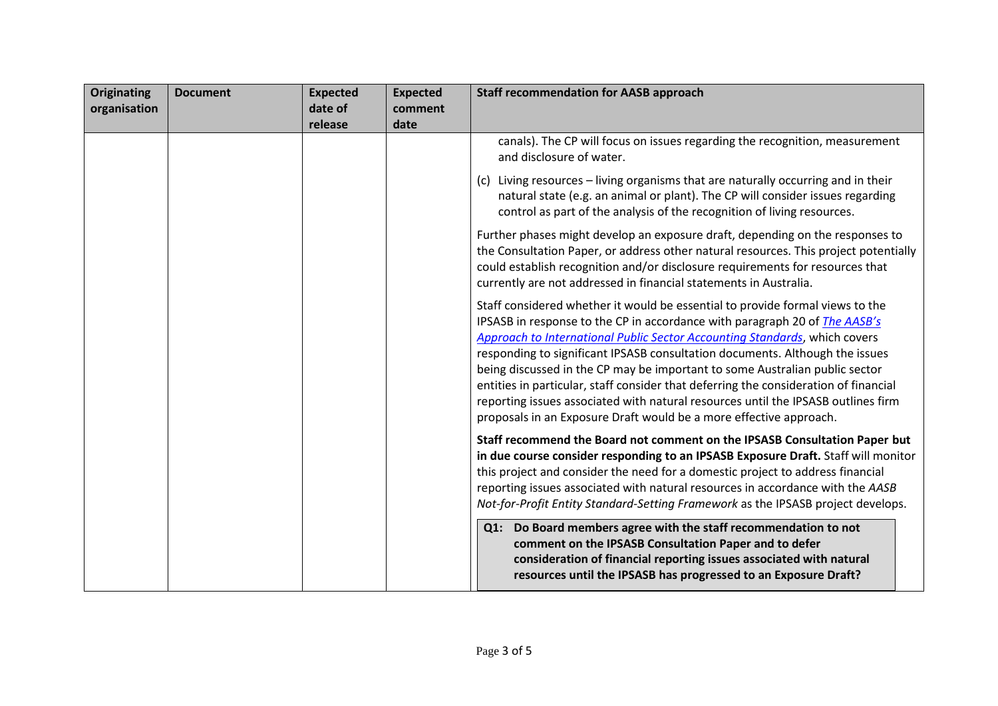| Originating<br>organisation | <b>Document</b> | <b>Expected</b><br>date of | <b>Expected</b><br>comment | <b>Staff recommendation for AASB approach</b>                                                                                                                                                                                                                                                                                                                                                                                                                                                                                                                                                                                                                      |
|-----------------------------|-----------------|----------------------------|----------------------------|--------------------------------------------------------------------------------------------------------------------------------------------------------------------------------------------------------------------------------------------------------------------------------------------------------------------------------------------------------------------------------------------------------------------------------------------------------------------------------------------------------------------------------------------------------------------------------------------------------------------------------------------------------------------|
|                             |                 | release                    | date                       |                                                                                                                                                                                                                                                                                                                                                                                                                                                                                                                                                                                                                                                                    |
|                             |                 |                            |                            | canals). The CP will focus on issues regarding the recognition, measurement<br>and disclosure of water.                                                                                                                                                                                                                                                                                                                                                                                                                                                                                                                                                            |
|                             |                 |                            |                            | (c) Living resources - living organisms that are naturally occurring and in their<br>natural state (e.g. an animal or plant). The CP will consider issues regarding<br>control as part of the analysis of the recognition of living resources.                                                                                                                                                                                                                                                                                                                                                                                                                     |
|                             |                 |                            |                            | Further phases might develop an exposure draft, depending on the responses to<br>the Consultation Paper, or address other natural resources. This project potentially<br>could establish recognition and/or disclosure requirements for resources that<br>currently are not addressed in financial statements in Australia.                                                                                                                                                                                                                                                                                                                                        |
|                             |                 |                            |                            | Staff considered whether it would be essential to provide formal views to the<br>IPSASB in response to the CP in accordance with paragraph 20 of The AASB's<br><b>Approach to International Public Sector Accounting Standards, which covers</b><br>responding to significant IPSASB consultation documents. Although the issues<br>being discussed in the CP may be important to some Australian public sector<br>entities in particular, staff consider that deferring the consideration of financial<br>reporting issues associated with natural resources until the IPSASB outlines firm<br>proposals in an Exposure Draft would be a more effective approach. |
|                             |                 |                            |                            | Staff recommend the Board not comment on the IPSASB Consultation Paper but<br>in due course consider responding to an IPSASB Exposure Draft. Staff will monitor<br>this project and consider the need for a domestic project to address financial<br>reporting issues associated with natural resources in accordance with the AASB<br>Not-for-Profit Entity Standard-Setting Framework as the IPSASB project develops.                                                                                                                                                                                                                                            |
|                             |                 |                            |                            | Q1: Do Board members agree with the staff recommendation to not<br>comment on the IPSASB Consultation Paper and to defer<br>consideration of financial reporting issues associated with natural<br>resources until the IPSASB has progressed to an Exposure Draft?                                                                                                                                                                                                                                                                                                                                                                                                 |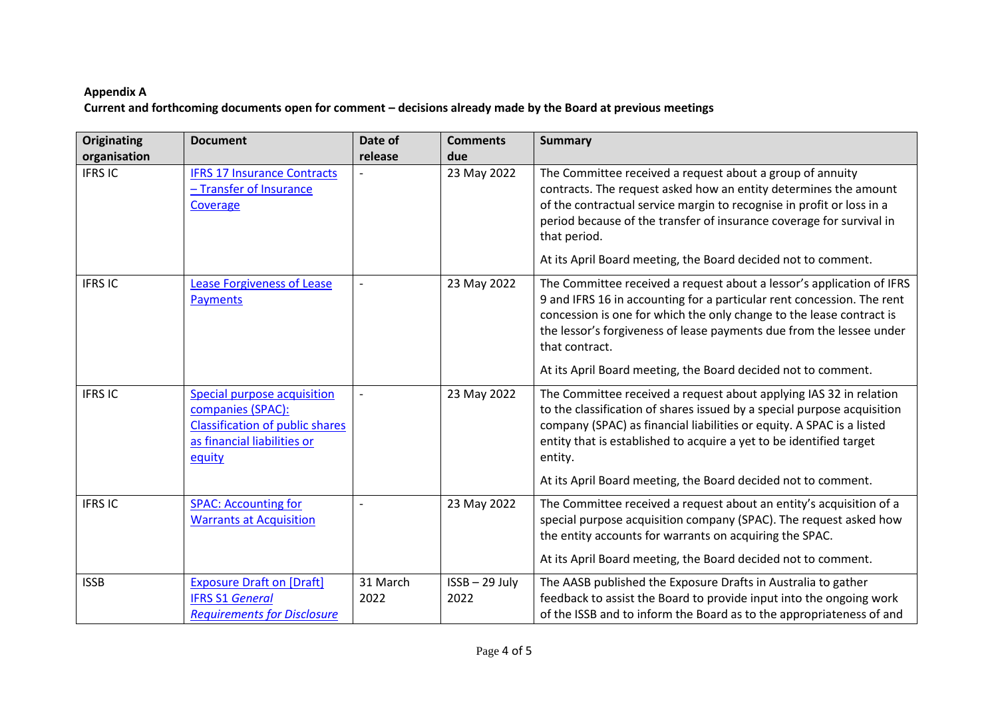# **Appendix A Current and forthcoming documents open for comment – decisions already made by the Board at previous meetings**

| Originating                    | <b>Document</b>                                                                                                                            | Date of          | <b>Comments</b>      | <b>Summary</b>                                                                                                                                                                                                                                                                                                                                                                     |
|--------------------------------|--------------------------------------------------------------------------------------------------------------------------------------------|------------------|----------------------|------------------------------------------------------------------------------------------------------------------------------------------------------------------------------------------------------------------------------------------------------------------------------------------------------------------------------------------------------------------------------------|
| organisation<br><b>IFRS IC</b> | <b>IFRS 17 Insurance Contracts</b><br>- Transfer of Insurance<br>Coverage                                                                  | release          | due<br>23 May 2022   | The Committee received a request about a group of annuity<br>contracts. The request asked how an entity determines the amount<br>of the contractual service margin to recognise in profit or loss in a<br>period because of the transfer of insurance coverage for survival in<br>that period.<br>At its April Board meeting, the Board decided not to comment.                    |
| <b>IFRSIC</b>                  | <b>Lease Forgiveness of Lease</b><br><b>Payments</b>                                                                                       |                  | 23 May 2022          | The Committee received a request about a lessor's application of IFRS<br>9 and IFRS 16 in accounting for a particular rent concession. The rent<br>concession is one for which the only change to the lease contract is<br>the lessor's forgiveness of lease payments due from the lessee under<br>that contract.<br>At its April Board meeting, the Board decided not to comment. |
| <b>IFRSIC</b>                  | <b>Special purpose acquisition</b><br>companies (SPAC):<br><b>Classification of public shares</b><br>as financial liabilities or<br>equity |                  | 23 May 2022          | The Committee received a request about applying IAS 32 in relation<br>to the classification of shares issued by a special purpose acquisition<br>company (SPAC) as financial liabilities or equity. A SPAC is a listed<br>entity that is established to acquire a yet to be identified target<br>entity.<br>At its April Board meeting, the Board decided not to comment.          |
| <b>IFRSIC</b>                  | <b>SPAC: Accounting for</b><br><b>Warrants at Acquisition</b>                                                                              |                  | 23 May 2022          | The Committee received a request about an entity's acquisition of a<br>special purpose acquisition company (SPAC). The request asked how<br>the entity accounts for warrants on acquiring the SPAC.<br>At its April Board meeting, the Board decided not to comment.                                                                                                               |
| <b>ISSB</b>                    | <b>Exposure Draft on [Draft]</b><br><b>IFRS S1 General</b><br><b>Requirements for Disclosure</b>                                           | 31 March<br>2022 | ISSB-29 July<br>2022 | The AASB published the Exposure Drafts in Australia to gather<br>feedback to assist the Board to provide input into the ongoing work<br>of the ISSB and to inform the Board as to the appropriateness of and                                                                                                                                                                       |